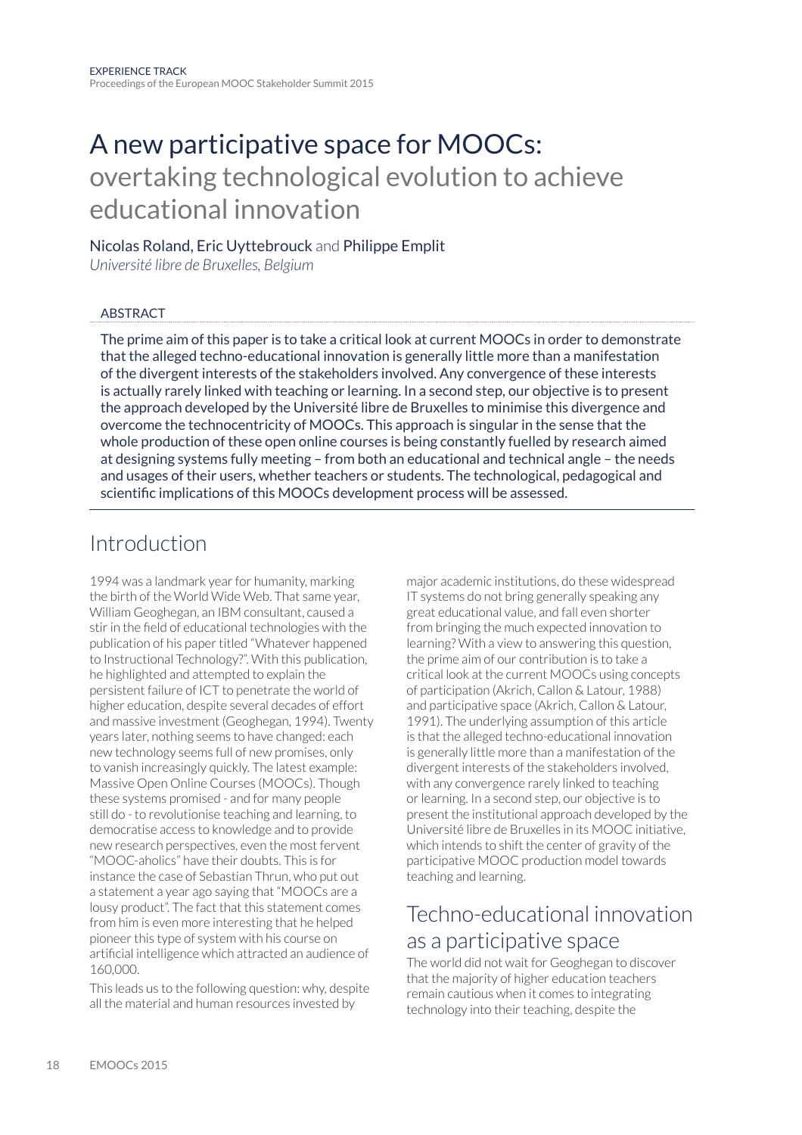# A new participative space for MOOCs: overtaking technological evolution to achieve educational innovation

#### Nicolas Roland, Eric Uyttebrouck and Philippe Emplit

*Université libre de Bruxelles, Belgium*

#### ABSTRACT

The prime aim of this paper is to take a critical look at current MOOCs in order to demonstrate that the alleged techno-educational innovation is generally little more than a manifestation of the divergent interests of the stakeholders involved. Any convergence of these interests is actually rarely linked with teaching or learning. In a second step, our objective is to present the approach developed by the Université libre de Bruxelles to minimise this divergence and overcome the technocentricity of MOOCs. This approach is singular in the sense that the whole production of these open online courses is being constantly fuelled by research aimed at designing systems fully meeting – from both an educational and technical angle – the needs and usages of their users, whether teachers or students. The technological, pedagogical and scientifc implications of this MOOCs development process will be assessed.

#### Introduction

1994 was a landmark year for humanity, marking the birth of the World Wide Web. That same year, William Geoghegan, an IBM consultant, caused a stir in the feld of educational technologies with the publication of his paper titled "Whatever happened to Instructional Technology?". With this publication, he highlighted and attempted to explain the persistent failure of ICT to penetrate the world of higher education, despite several decades of effort and massive investment (Geoghegan, 1994). Twenty years later, nothing seems to have changed: each new technology seems full of new promises, only to vanish increasingly quickly. The latest example: Massive Open Online Courses (MOOCs). Though these systems promised - and for many people still do - to revolutionise teaching and learning, to democratise access to knowledge and to provide new research perspectives, even the most fervent "MOOC-aholics" have their doubts. This is for instance the case of Sebastian Thrun, who put out a statement a year ago saying that "MOOCs are a lousy product". The fact that this statement comes from him is even more interesting that he helped pioneer this type of system with his course on artifcial intelligence which attracted an audience of 160,000.

This leads us to the following question: why, despite all the material and human resources invested by

major academic institutions, do these widespread IT systems do not bring generally speaking any great educational value, and fall even shorter from bringing the much expected innovation to learning? With a view to answering this question, the prime aim of our contribution is to take a critical look at the current MOOCs using concepts of participation (Akrich, Callon & Latour, 1988) and participative space (Akrich, Callon & Latour, 1991). The underlying assumption of this article is that the alleged techno-educational innovation is generally little more than a manifestation of the divergent interests of the stakeholders involved, with any convergence rarely linked to teaching or learning. In a second step, our objective is to present the institutional approach developed by the Université libre de Bruxelles in its MOOC initiative, which intends to shift the center of gravity of the participative MOOC production model towards teaching and learning.

# Techno-educational innovation as a participative space

The world did not wait for Geoghegan to discover that the majority of higher education teachers remain cautious when it comes to integrating technology into their teaching, despite the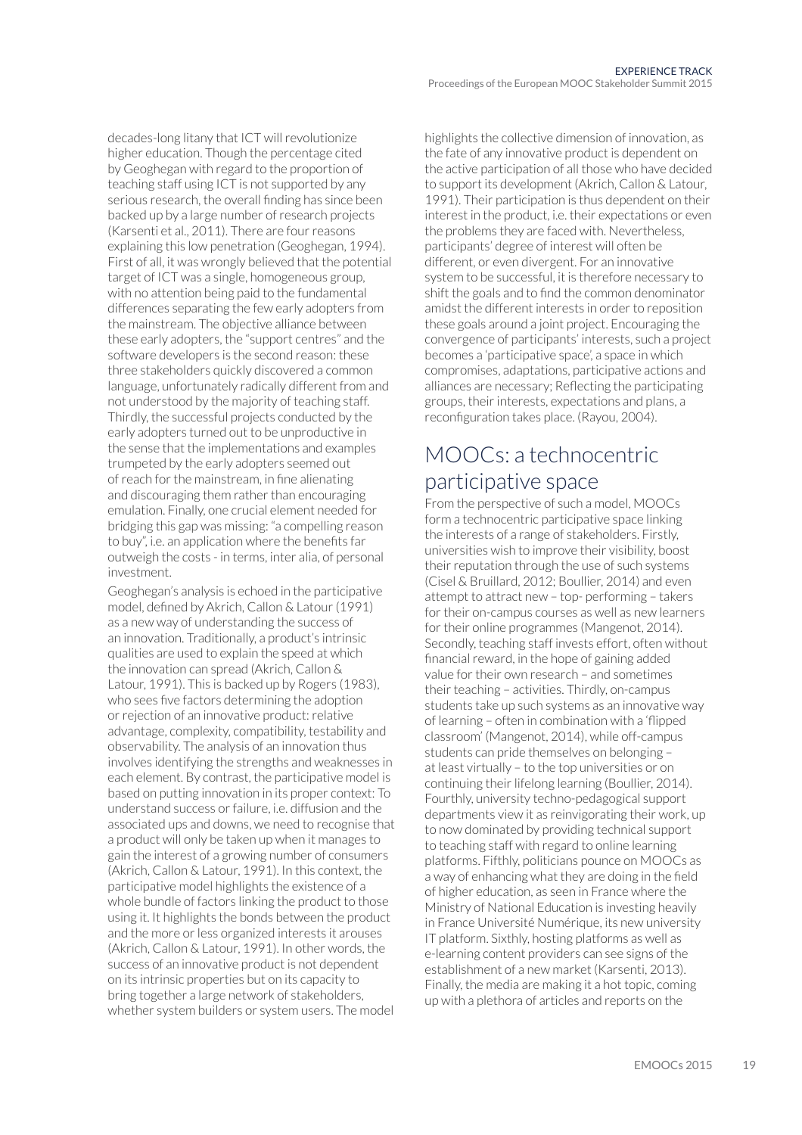decades-long litany that ICT will revolutionize higher education. Though the percentage cited by Geoghegan with regard to the proportion of teaching staff using ICT is not supported by any serious research, the overall fnding has since been backed up by a large number of research projects (Karsenti et al., 2011). There are four reasons explaining this low penetration (Geoghegan, 1994). First of all, it was wrongly believed that the potential target of ICT was a single, homogeneous group, with no attention being paid to the fundamental differences separating the few early adopters from the mainstream. The objective alliance between these early adopters, the "support centres" and the software developers is the second reason: these three stakeholders quickly discovered a common language, unfortunately radically different from and not understood by the majority of teaching staff. Thirdly, the successful projects conducted by the early adopters turned out to be unproductive in the sense that the implementations and examples trumpeted by the early adopters seemed out of reach for the mainstream, in fne alienating and discouraging them rather than encouraging emulation. Finally, one crucial element needed for bridging this gap was missing: "a compelling reason to buy", i.e. an application where the benefts far outweigh the costs - in terms, inter alia, of personal investment.

Geoghegan's analysis is echoed in the participative model, defned by Akrich, Callon & Latour (1991) as a new way of understanding the success of an innovation. Traditionally, a product's intrinsic qualities are used to explain the speed at which the innovation can spread (Akrich, Callon & Latour, 1991). This is backed up by Rogers (1983), who sees fve factors determining the adoption or rejection of an innovative product: relative advantage, complexity, compatibility, testability and observability. The analysis of an innovation thus involves identifying the strengths and weaknesses in each element. By contrast, the participative model is based on putting innovation in its proper context: To understand success or failure, i.e. diffusion and the associated ups and downs, we need to recognise that a product will only be taken up when it manages to gain the interest of a growing number of consumers (Akrich, Callon & Latour, 1991). In this context, the participative model highlights the existence of a whole bundle of factors linking the product to those using it. It highlights the bonds between the product and the more or less organized interests it arouses (Akrich, Callon & Latour, 1991). In other words, the success of an innovative product is not dependent on its intrinsic properties but on its capacity to bring together a large network of stakeholders, whether system builders or system users. The model

highlights the collective dimension of innovation, as the fate of any innovative product is dependent on the active participation of all those who have decided to support its development (Akrich, Callon & Latour, 1991). Their participation is thus dependent on their interest in the product, i.e. their expectations or even the problems they are faced with. Nevertheless, participants' degree of interest will often be different, or even divergent. For an innovative system to be successful, it is therefore necessary to shift the goals and to fnd the common denominator amidst the different interests in order to reposition these goals around a joint project. Encouraging the convergence of participants' interests, such a project becomes a 'participative space', a space in which compromises, adaptations, participative actions and alliances are necessary; Refecting the participating groups, their interests, expectations and plans, a reconfguration takes place. (Rayou, 2004).

# MOOCs: a technocentric participative space

From the perspective of such a model, MOOCs form a technocentric participative space linking the interests of a range of stakeholders. Firstly, universities wish to improve their visibility, boost their reputation through the use of such systems (Cisel & Bruillard, 2012; Boullier, 2014) and even attempt to attract new – top- performing – takers for their on-campus courses as well as new learners for their online programmes (Mangenot, 2014). Secondly, teaching staff invests effort, often without fnancial reward, in the hope of gaining added value for their own research – and sometimes their teaching – activities. Thirdly, on-campus students take up such systems as an innovative way of learning – often in combination with a 'fipped classroom' (Mangenot, 2014), while off-campus students can pride themselves on belonging – at least virtually – to the top universities or on continuing their lifelong learning (Boullier, 2014). Fourthly, university techno-pedagogical support departments view it as reinvigorating their work, up to now dominated by providing technical support to teaching staff with regard to online learning platforms. Fifthly, politicians pounce on MOOCs as a way of enhancing what they are doing in the feld of higher education, as seen in France where the Ministry of National Education is investing heavily in France Université Numérique, its new university IT platform. Sixthly, hosting platforms as well as e-learning content providers can see signs of the establishment of a new market (Karsenti, 2013). Finally, the media are making it a hot topic, coming up with a plethora of articles and reports on the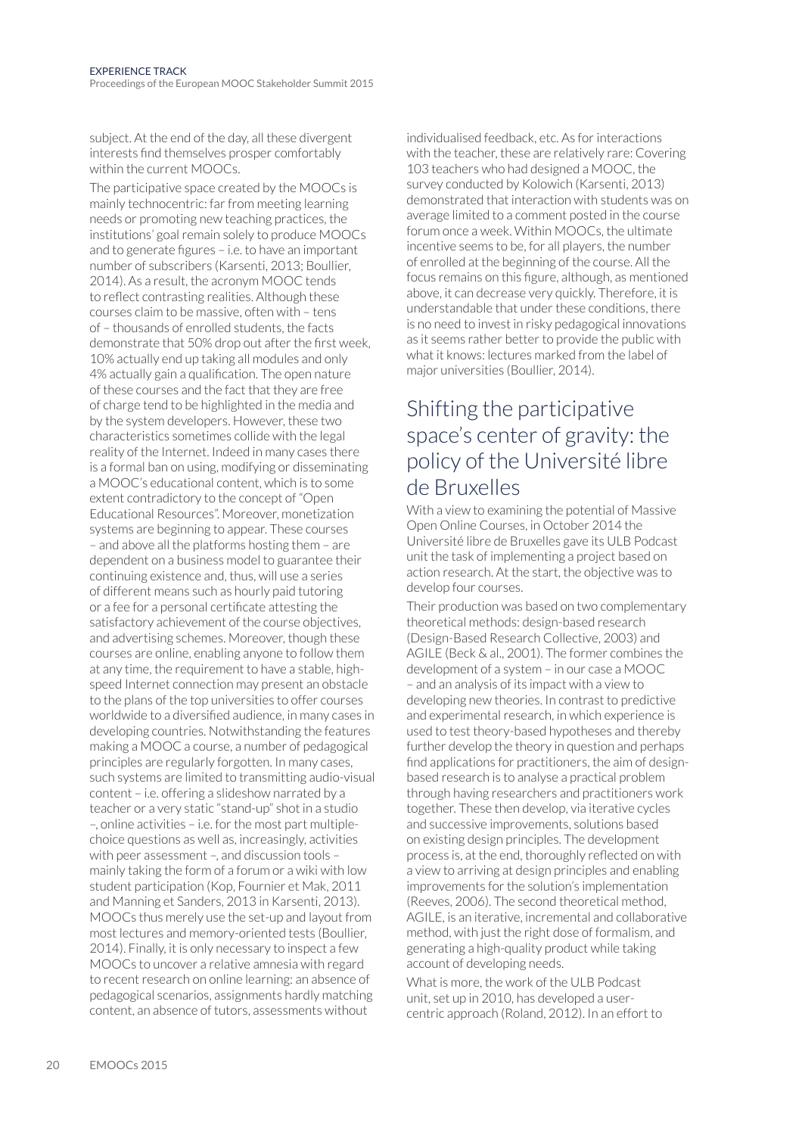Proceedings of the European MOOC Stakeholder Summit 2015

subject. At the end of the day, all these divergent interests fnd themselves prosper comfortably within the current MOOCs.

The participative space created by the MOOCs is mainly technocentric: far from meeting learning needs or promoting new teaching practices, the institutions' goal remain solely to produce MOOCs and to generate fgures – i.e. to have an important number of subscribers (Karsenti, 2013; Boullier, 2014). As a result, the acronym MOOC tends to refect contrasting realities. Although these courses claim to be massive, often with – tens of – thousands of enrolled students, the facts demonstrate that 50% drop out after the frst week, 10% actually end up taking all modules and only 4% actually gain a qualifcation. The open nature of these courses and the fact that they are free of charge tend to be highlighted in the media and by the system developers. However, these two characteristics sometimes collide with the legal reality of the Internet. Indeed in many cases there is a formal ban on using, modifying or disseminating a MOOC's educational content, which is to some extent contradictory to the concept of "Open Educational Resources". Moreover, monetization systems are beginning to appear. These courses – and above all the platforms hosting them – are dependent on a business model to guarantee their continuing existence and, thus, will use a series of different means such as hourly paid tutoring or a fee for a personal certifcate attesting the satisfactory achievement of the course objectives, and advertising schemes. Moreover, though these courses are online, enabling anyone to follow them at any time, the requirement to have a stable, highspeed Internet connection may present an obstacle to the plans of the top universities to offer courses worldwide to a diversifed audience, in many cases in developing countries. Notwithstanding the features making a MOOC a course, a number of pedagogical principles are regularly forgotten. In many cases, such systems are limited to transmitting audio-visual content – i.e. offering a slideshow narrated by a teacher or a very static "stand-up" shot in a studio –, online activities – i.e. for the most part multiplechoice questions as well as, increasingly, activities with peer assessment –, and discussion tools – mainly taking the form of a forum or a wiki with low student participation (Kop, Fournier et Mak, 2011 and Manning et Sanders, 2013 in Karsenti, 2013). MOOCs thus merely use the set-up and layout from most lectures and memory-oriented tests (Boullier, 2014). Finally, it is only necessary to inspect a few MOOCs to uncover a relative amnesia with regard to recent research on online learning: an absence of pedagogical scenarios, assignments hardly matching content, an absence of tutors, assessments without

individualised feedback, etc. As for interactions with the teacher, these are relatively rare: Covering 103 teachers who had designed a MOOC, the survey conducted by Kolowich (Karsenti, 2013) demonstrated that interaction with students was on average limited to a comment posted in the course forum once a week. Within MOOCs, the ultimate incentive seems to be, for all players, the number of enrolled at the beginning of the course. All the focus remains on this fgure, although, as mentioned above, it can decrease very quickly. Therefore, it is understandable that under these conditions, there is no need to invest in risky pedagogical innovations as it seems rather better to provide the public with what it knows: lectures marked from the label of major universities (Boullier, 2014).

# Shifting the participative space's center of gravity: the policy of the Université libre de Bruxelles

With a view to examining the potential of Massive Open Online Courses, in October 2014 the Université libre de Bruxelles gave its ULB Podcast unit the task of implementing a project based on action research. At the start, the objective was to develop four courses.

Their production was based on two complementary theoretical methods: design-based research (Design-Based Research Collective, 2003) and AGILE (Beck & al., 2001). The former combines the development of a system – in our case a MOOC – and an analysis of its impact with a view to developing new theories. In contrast to predictive and experimental research, in which experience is used to test theory-based hypotheses and thereby further develop the theory in question and perhaps fnd applications for practitioners, the aim of designbased research is to analyse a practical problem through having researchers and practitioners work together. These then develop, via iterative cycles and successive improvements, solutions based on existing design principles. The development process is, at the end, thoroughly refected on with a view to arriving at design principles and enabling improvements for the solution's implementation (Reeves, 2006). The second theoretical method, AGILE, is an iterative, incremental and collaborative method, with just the right dose of formalism, and generating a high-quality product while taking account of developing needs.

What is more, the work of the ULB Podcast unit, set up in 2010, has developed a usercentric approach (Roland, 2012). In an effort to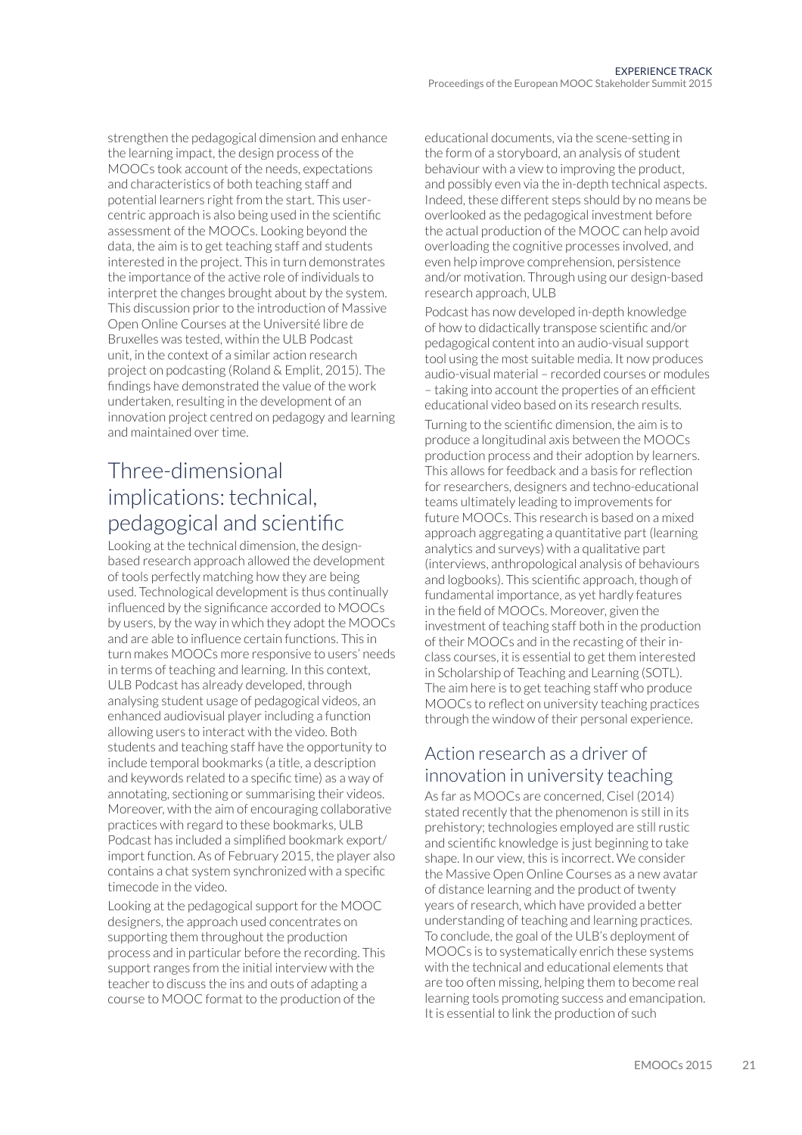strengthen the pedagogical dimension and enhance the learning impact, the design process of the MOOCs took account of the needs, expectations and characteristics of both teaching staff and potential learners right from the start. This usercentric approach is also being used in the scientifc assessment of the MOOCs. Looking beyond the data, the aim is to get teaching staff and students interested in the project. This in turn demonstrates the importance of the active role of individuals to interpret the changes brought about by the system. This discussion prior to the introduction of Massive Open Online Courses at the Université libre de Bruxelles was tested, within the ULB Podcast unit, in the context of a similar action research project on podcasting (Roland & Emplit, 2015). The fndings have demonstrated the value of the work undertaken, resulting in the development of an innovation project centred on pedagogy and learning and maintained over time.

## Three-dimensional implications: technical, pedagogical and scientifc

Looking at the technical dimension, the designbased research approach allowed the development of tools perfectly matching how they are being used. Technological development is thus continually infuenced by the signifcance accorded to MOOCs by users, by the way in which they adopt the MOOCs and are able to infuence certain functions. This in turn makes MOOCs more responsive to users' needs in terms of teaching and learning. In this context, ULB Podcast has already developed, through analysing student usage of pedagogical videos, an enhanced audiovisual player including a function allowing users to interact with the video. Both students and teaching staff have the opportunity to include temporal bookmarks (a title, a description and keywords related to a specifc time) as a way of annotating, sectioning or summarising their videos. Moreover, with the aim of encouraging collaborative practices with regard to these bookmarks, ULB Podcast has included a simplifed bookmark export/ import function. As of February 2015, the player also contains a chat system synchronized with a specifc timecode in the video.

Looking at the pedagogical support for the MOOC designers, the approach used concentrates on supporting them throughout the production process and in particular before the recording. This support ranges from the initial interview with the teacher to discuss the ins and outs of adapting a course to MOOC format to the production of the

educational documents, via the scene-setting in the form of a storyboard, an analysis of student behaviour with a view to improving the product, and possibly even via the in-depth technical aspects. Indeed, these different steps should by no means be overlooked as the pedagogical investment before the actual production of the MOOC can help avoid overloading the cognitive processes involved, and even help improve comprehension, persistence and/or motivation. Through using our design-based research approach, ULB

Podcast has now developed in-depth knowledge of how to didactically transpose scientifc and/or pedagogical content into an audio-visual support tool using the most suitable media. It now produces audio-visual material – recorded courses or modules – taking into account the properties of an effcient educational video based on its research results. Turning to the scientifc dimension, the aim is to produce a longitudinal axis between the MOOCs production process and their adoption by learners. This allows for feedback and a basis for refection for researchers, designers and techno-educational teams ultimately leading to improvements for future MOOCs. This research is based on a mixed approach aggregating a quantitative part (learning analytics and surveys) with a qualitative part (interviews, anthropological analysis of behaviours and logbooks). This scientifc approach, though of fundamental importance, as yet hardly features in the feld of MOOCs. Moreover, given the investment of teaching staff both in the production of their MOOCs and in the recasting of their inclass courses, it is essential to get them interested in Scholarship of Teaching and Learning (SOTL). The aim here is to get teaching staff who produce MOOCs to refect on university teaching practices through the window of their personal experience.

#### Action research as a driver of innovation in university teaching

As far as MOOCs are concerned, Cisel (2014) stated recently that the phenomenon is still in its prehistory; technologies employed are still rustic and scientifc knowledge is just beginning to take shape. In our view, this is incorrect. We consider the Massive Open Online Courses as a new avatar of distance learning and the product of twenty years of research, which have provided a better understanding of teaching and learning practices. To conclude, the goal of the ULB's deployment of MOOCs is to systematically enrich these systems with the technical and educational elements that are too often missing, helping them to become real learning tools promoting success and emancipation. It is essential to link the production of such